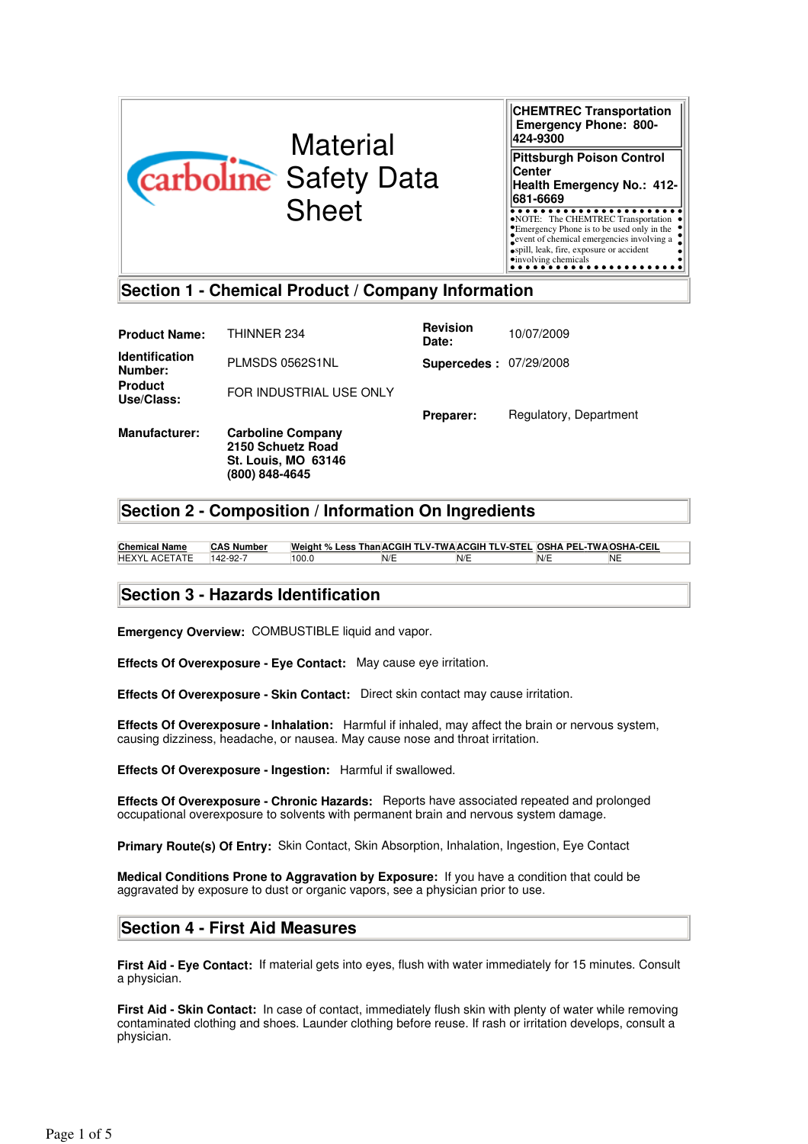

**CHEMTREC Transportation Emergency Phone: 800- 424-9300 Pittsburgh Poison Control Center Health Emergency No.: 412- 681-6669** NOTE: The CHEMTREC Transportation Emergency Phone is to be used only in the event of chemical emergencies involving a spill, leak, fire, exposure or accident involving chemicals

## **Section 1 - Chemical Product / Company Information**

| <b>Product Name:</b>             | THINNER 234                                                                                   | <b>Revision</b><br>Date:      | 10/07/2009             |
|----------------------------------|-----------------------------------------------------------------------------------------------|-------------------------------|------------------------|
| <b>Identification</b><br>Number: | PLMSDS 0562S1NL                                                                               | <b>Supercedes: 07/29/2008</b> |                        |
| <b>Product</b><br>Use/Class:     | FOR INDUSTRIAL USE ONLY                                                                       |                               |                        |
|                                  |                                                                                               | Preparer:                     | Regulatory, Department |
| <b>Manufacturer:</b>             | <b>Carboline Company</b><br>2150 Schuetz Road<br><b>St. Louis, MO 63146</b><br>(800) 848-4645 |                               |                        |

# **Section 2 - Composition / Information On Ingredients**

**Chemical Name CAS Number Weight % Less ThanACGIH TLV-TWAACGIH TLV-STEL OSHA PEL-TWAOSHA-CEIL** HEXYL ACETATE 142-92-7 100.0 N/E N/E N/E NE

## **Section 3 - Hazards Identification**

**Emergency Overview:** COMBUSTIBLE liquid and vapor.

**Effects Of Overexposure - Eye Contact:** May cause eye irritation.

**Effects Of Overexposure - Skin Contact:** Direct skin contact may cause irritation.

**Effects Of Overexposure - Inhalation:** Harmful if inhaled, may affect the brain or nervous system, causing dizziness, headache, or nausea. May cause nose and throat irritation.

**Effects Of Overexposure - Ingestion:** Harmful if swallowed.

**Effects Of Overexposure - Chronic Hazards:** Reports have associated repeated and prolonged occupational overexposure to solvents with permanent brain and nervous system damage.

**Primary Route(s) Of Entry:** Skin Contact, Skin Absorption, Inhalation, Ingestion, Eye Contact

**Medical Conditions Prone to Aggravation by Exposure:** If you have a condition that could be aggravated by exposure to dust or organic vapors, see a physician prior to use.

## **Section 4 - First Aid Measures**

**First Aid - Eye Contact:** If material gets into eyes, flush with water immediately for 15 minutes. Consult a physician.

**First Aid - Skin Contact:** In case of contact, immediately flush skin with plenty of water while removing contaminated clothing and shoes. Launder clothing before reuse. If rash or irritation develops, consult a physician.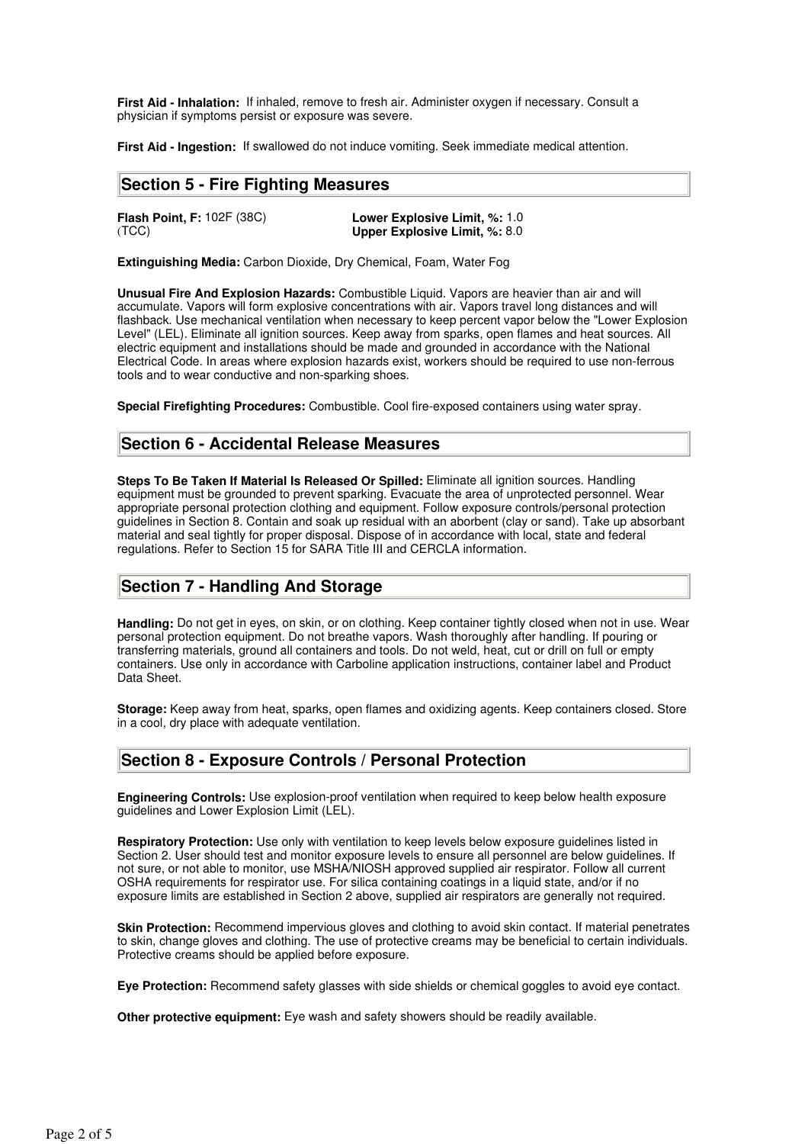**First Aid - Inhalation:** If inhaled, remove to fresh air. Administer oxygen if necessary. Consult a physician if symptoms persist or exposure was severe.

**First Aid - Ingestion:** If swallowed do not induce vomiting. Seek immediate medical attention.

## **Section 5 - Fire Fighting Measures**

**Flash Point, F:** 102F (38C) **Lower Explosive Limit, %: 1.0**<br>(TCC) **Upper Explosive Limit, %: 8.0** Upper Explosive Limit, %: 8.0

**Extinguishing Media:** Carbon Dioxide, Dry Chemical, Foam, Water Fog

**Unusual Fire And Explosion Hazards:** Combustible Liquid. Vapors are heavier than air and will accumulate. Vapors will form explosive concentrations with air. Vapors travel long distances and will flashback. Use mechanical ventilation when necessary to keep percent vapor below the "Lower Explosion Level" (LEL). Eliminate all ignition sources. Keep away from sparks, open flames and heat sources. All electric equipment and installations should be made and grounded in accordance with the National Electrical Code. In areas where explosion hazards exist, workers should be required to use non-ferrous tools and to wear conductive and non-sparking shoes.

**Special Firefighting Procedures:** Combustible. Cool fire-exposed containers using water spray.

## **Section 6 - Accidental Release Measures**

**Steps To Be Taken If Material Is Released Or Spilled:** Eliminate all ignition sources. Handling equipment must be grounded to prevent sparking. Evacuate the area of unprotected personnel. Wear appropriate personal protection clothing and equipment. Follow exposure controls/personal protection guidelines in Section 8. Contain and soak up residual with an aborbent (clay or sand). Take up absorbant material and seal tightly for proper disposal. Dispose of in accordance with local, state and federal regulations. Refer to Section 15 for SARA Title III and CERCLA information.

## **Section 7 - Handling And Storage**

**Handling:** Do not get in eyes, on skin, or on clothing. Keep container tightly closed when not in use. Wear personal protection equipment. Do not breathe vapors. Wash thoroughly after handling. If pouring or transferring materials, ground all containers and tools. Do not weld, heat, cut or drill on full or empty containers. Use only in accordance with Carboline application instructions, container label and Product Data Sheet.

**Storage:** Keep away from heat, sparks, open flames and oxidizing agents. Keep containers closed. Store in a cool, dry place with adequate ventilation.

## **Section 8 - Exposure Controls / Personal Protection**

**Engineering Controls:** Use explosion-proof ventilation when required to keep below health exposure guidelines and Lower Explosion Limit (LEL).

**Respiratory Protection:** Use only with ventilation to keep levels below exposure guidelines listed in Section 2. User should test and monitor exposure levels to ensure all personnel are below guidelines. If not sure, or not able to monitor, use MSHA/NIOSH approved supplied air respirator. Follow all current OSHA requirements for respirator use. For silica containing coatings in a liquid state, and/or if no exposure limits are established in Section 2 above, supplied air respirators are generally not required.

**Skin Protection:** Recommend impervious gloves and clothing to avoid skin contact. If material penetrates to skin, change gloves and clothing. The use of protective creams may be beneficial to certain individuals. Protective creams should be applied before exposure.

**Eye Protection:** Recommend safety glasses with side shields or chemical goggles to avoid eye contact.

**Other protective equipment:** Eye wash and safety showers should be readily available.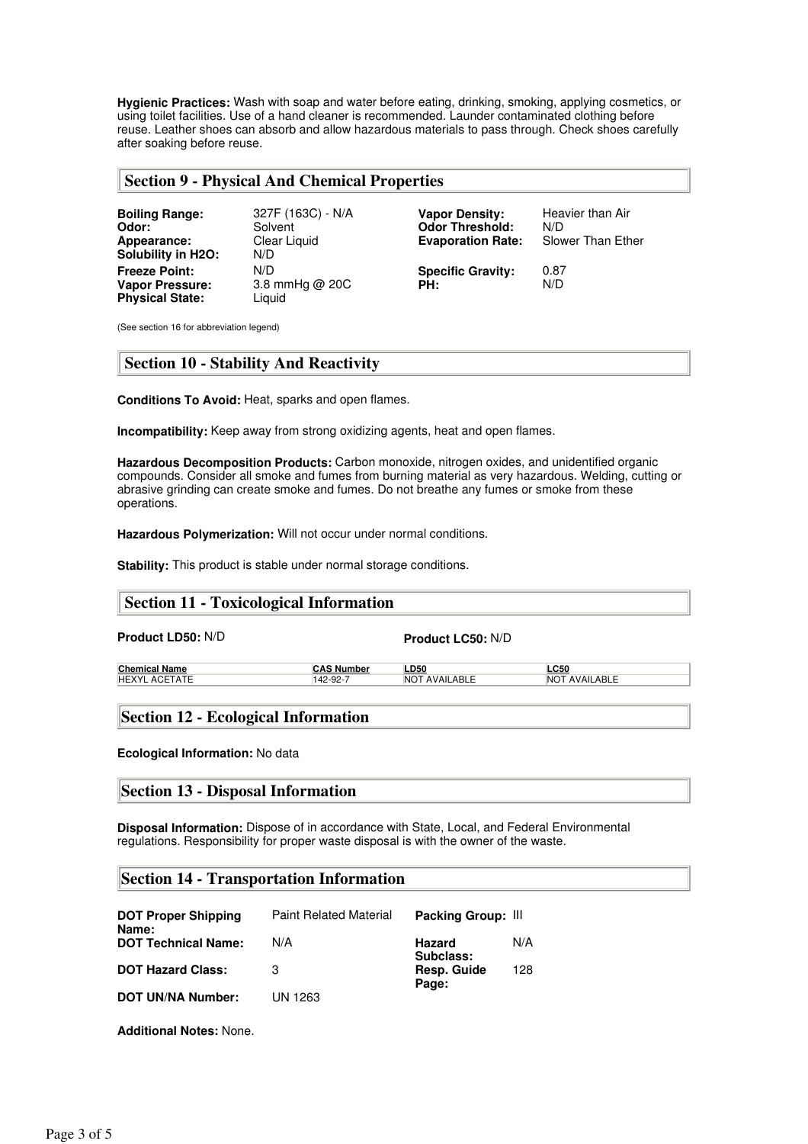**Hygienic Practices:** Wash with soap and water before eating, drinking, smoking, applying cosmetics, or using toilet facilities. Use of a hand cleaner is recommended. Launder contaminated clothing before reuse. Leather shoes can absorb and allow hazardous materials to pass through. Check shoes carefully after soaking before reuse.

## **Section 9 - Physical And Chemical Properties**

| <b>Boiling Range:</b><br>Odor:<br>Appearance:<br><b>Solubility in H2O:</b> | 327F (163C) - N/A<br>Solvent<br>Clear Liquid<br>N/D | <b>Vapor Density:</b><br><b>Odor Threshold:</b><br><b>Evaporation Rate:</b> | Heavier than Air<br>N/D<br>Slower Than Ether |
|----------------------------------------------------------------------------|-----------------------------------------------------|-----------------------------------------------------------------------------|----------------------------------------------|
| <b>Freeze Point:</b><br><b>Vapor Pressure:</b><br><b>Physical State:</b>   | N/D<br>3.8 mmHg $@$ 20C<br>Liguid                   | <b>Specific Gravity:</b><br>PH:                                             | 0.87<br>N/D                                  |

(See section 16 for abbreviation legend)

## **Section 10 - Stability And Reactivity**

**Conditions To Avoid:** Heat, sparks and open flames.

**Incompatibility:** Keep away from strong oxidizing agents, heat and open flames.

**Hazardous Decomposition Products:** Carbon monoxide, nitrogen oxides, and unidentified organic compounds. Consider all smoke and fumes from burning material as very hazardous. Welding, cutting or abrasive grinding can create smoke and fumes. Do not breathe any fumes or smoke from these operations.

**Hazardous Polymerization:** Will not occur under normal conditions.

**Stability:** This product is stable under normal storage conditions.

## **Section 11 - Toxicological Information**

**Product LD50:** N/D **Product LC50:** N/D

| Chemical Name |  |
|---------------|--|
| HEXYL ACETATE |  |

**Chemical Name CAS Number LD50 LC50** 142-92-7 NOT AVAILABLE

## **Section 12 - Ecological Information**

**Ecological Information:** No data

# **Section 13 - Disposal Information**

**Disposal Information:** Dispose of in accordance with State, Local, and Federal Environmental regulations. Responsibility for proper waste disposal is with the owner of the waste.

# **Section 14 - Transportation Information**

| <b>DOT Proper Shipping</b><br>Name: | <b>Paint Related Material</b> | Packing Group: III         |     |
|-------------------------------------|-------------------------------|----------------------------|-----|
| <b>DOT Technical Name:</b>          | N/A                           | <b>Hazard</b><br>Subclass: | N/A |
| <b>DOT Hazard Class:</b>            | З                             | Resp. Guide<br>Page:       | 128 |
| <b>DOT UN/NA Number:</b>            | UN 1263                       |                            |     |

**Additional Notes:** None.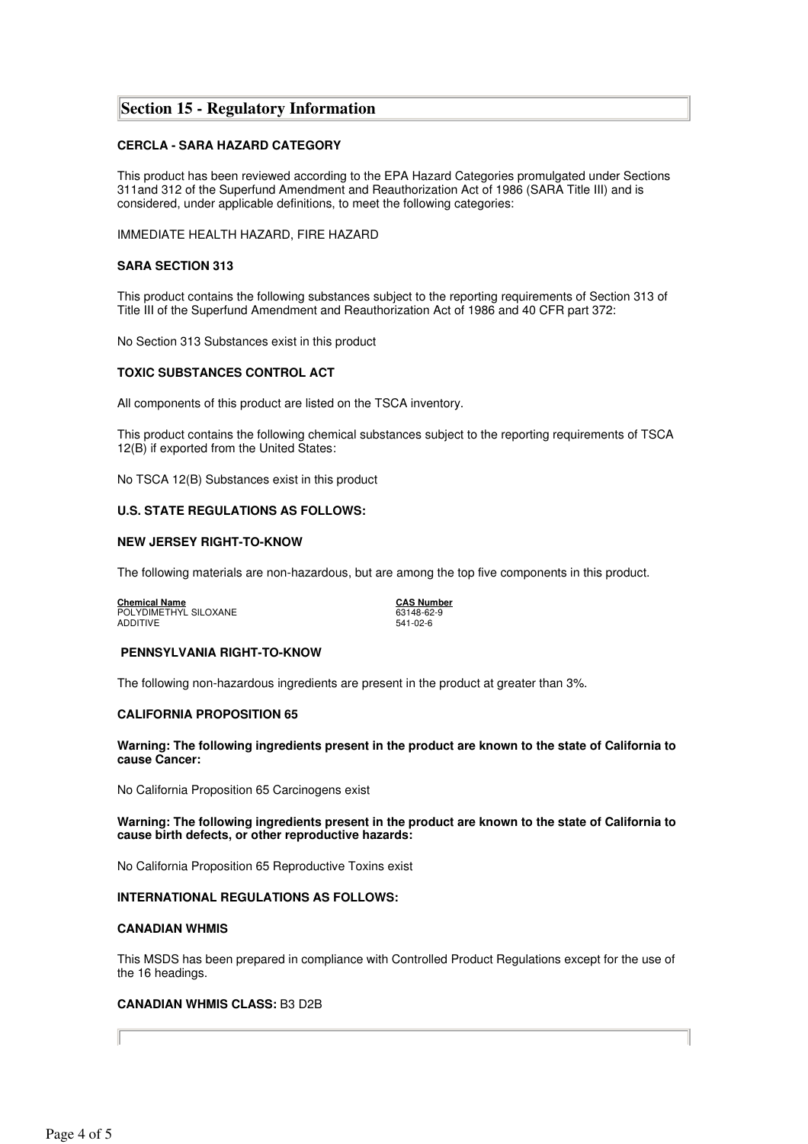## **Section 15 - Regulatory Information**

#### **CERCLA - SARA HAZARD CATEGORY**

This product has been reviewed according to the EPA Hazard Categories promulgated under Sections 311and 312 of the Superfund Amendment and Reauthorization Act of 1986 (SARA Title III) and is considered, under applicable definitions, to meet the following categories:

IMMEDIATE HEALTH HAZARD, FIRE HAZARD

#### **SARA SECTION 313**

This product contains the following substances subject to the reporting requirements of Section 313 of Title III of the Superfund Amendment and Reauthorization Act of 1986 and 40 CFR part 372:

No Section 313 Substances exist in this product

#### **TOXIC SUBSTANCES CONTROL ACT**

All components of this product are listed on the TSCA inventory.

This product contains the following chemical substances subject to the reporting requirements of TSCA 12(B) if exported from the United States:

No TSCA 12(B) Substances exist in this product

#### **U.S. STATE REGULATIONS AS FOLLOWS:**

#### **NEW JERSEY RIGHT-TO-KNOW**

The following materials are non-hazardous, but are among the top five components in this product.

**Chemical Name CAS Number** POLYDIMETHYL SILOXANE 63148-62-9 ADDITIVE 541-02-6

#### **PENNSYLVANIA RIGHT-TO-KNOW**

The following non-hazardous ingredients are present in the product at greater than 3%.

#### **CALIFORNIA PROPOSITION 65**

**Warning: The following ingredients present in the product are known to the state of California to cause Cancer:**

No California Proposition 65 Carcinogens exist

#### **Warning: The following ingredients present in the product are known to the state of California to cause birth defects, or other reproductive hazards:**

No California Proposition 65 Reproductive Toxins exist

#### **INTERNATIONAL REGULATIONS AS FOLLOWS:**

#### **CANADIAN WHMIS**

This MSDS has been prepared in compliance with Controlled Product Regulations except for the use of the 16 headings.

#### **CANADIAN WHMIS CLASS:** B3 D2B